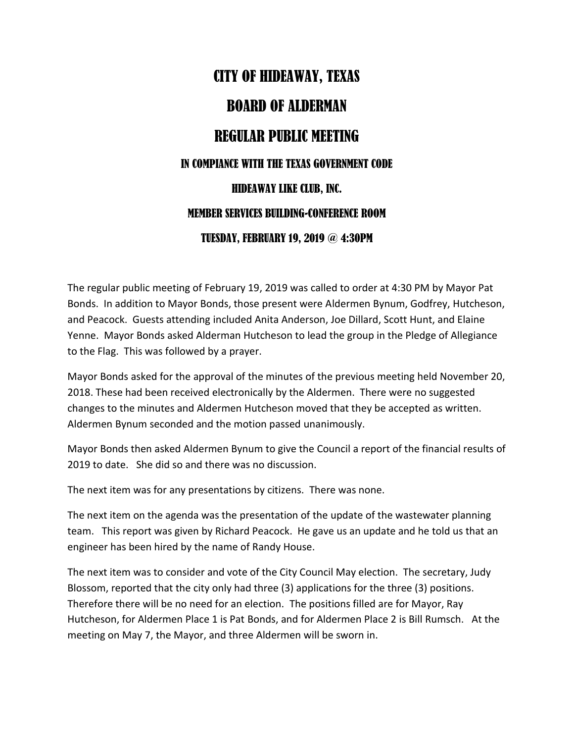## CITY OF HIDEAWAY, TEXAS BOARD OF ALDERMAN REGULAR PUBLIC MEETING IN COMPIANCE WITH THE TEXAS GOVERNMENT CODE HIDEAWAY LIKE CLUB, INC. MEMBER SERVICES BUILDING-CONFERENCE ROOM TUESDAY, FEBRUARY 19, 2019 @ 4:30PM

The regular public meeting of February 19, 2019 was called to order at 4:30 PM by Mayor Pat Bonds. In addition to Mayor Bonds, those present were Aldermen Bynum, Godfrey, Hutcheson, and Peacock. Guests attending included Anita Anderson, Joe Dillard, Scott Hunt, and Elaine Yenne. Mayor Bonds asked Alderman Hutcheson to lead the group in the Pledge of Allegiance to the Flag. This was followed by a prayer.

Mayor Bonds asked for the approval of the minutes of the previous meeting held November 20, 2018. These had been received electronically by the Aldermen. There were no suggested changes to the minutes and Aldermen Hutcheson moved that they be accepted as written. Aldermen Bynum seconded and the motion passed unanimously.

Mayor Bonds then asked Aldermen Bynum to give the Council a report of the financial results of 2019 to date. She did so and there was no discussion.

The next item was for any presentations by citizens. There was none.

The next item on the agenda was the presentation of the update of the wastewater planning team. This report was given by Richard Peacock. He gave us an update and he told us that an engineer has been hired by the name of Randy House.

The next item was to consider and vote of the City Council May election. The secretary, Judy Blossom, reported that the city only had three (3) applications for the three (3) positions. Therefore there will be no need for an election. The positions filled are for Mayor, Ray Hutcheson, for Aldermen Place 1 is Pat Bonds, and for Aldermen Place 2 is Bill Rumsch. At the meeting on May 7, the Mayor, and three Aldermen will be sworn in.